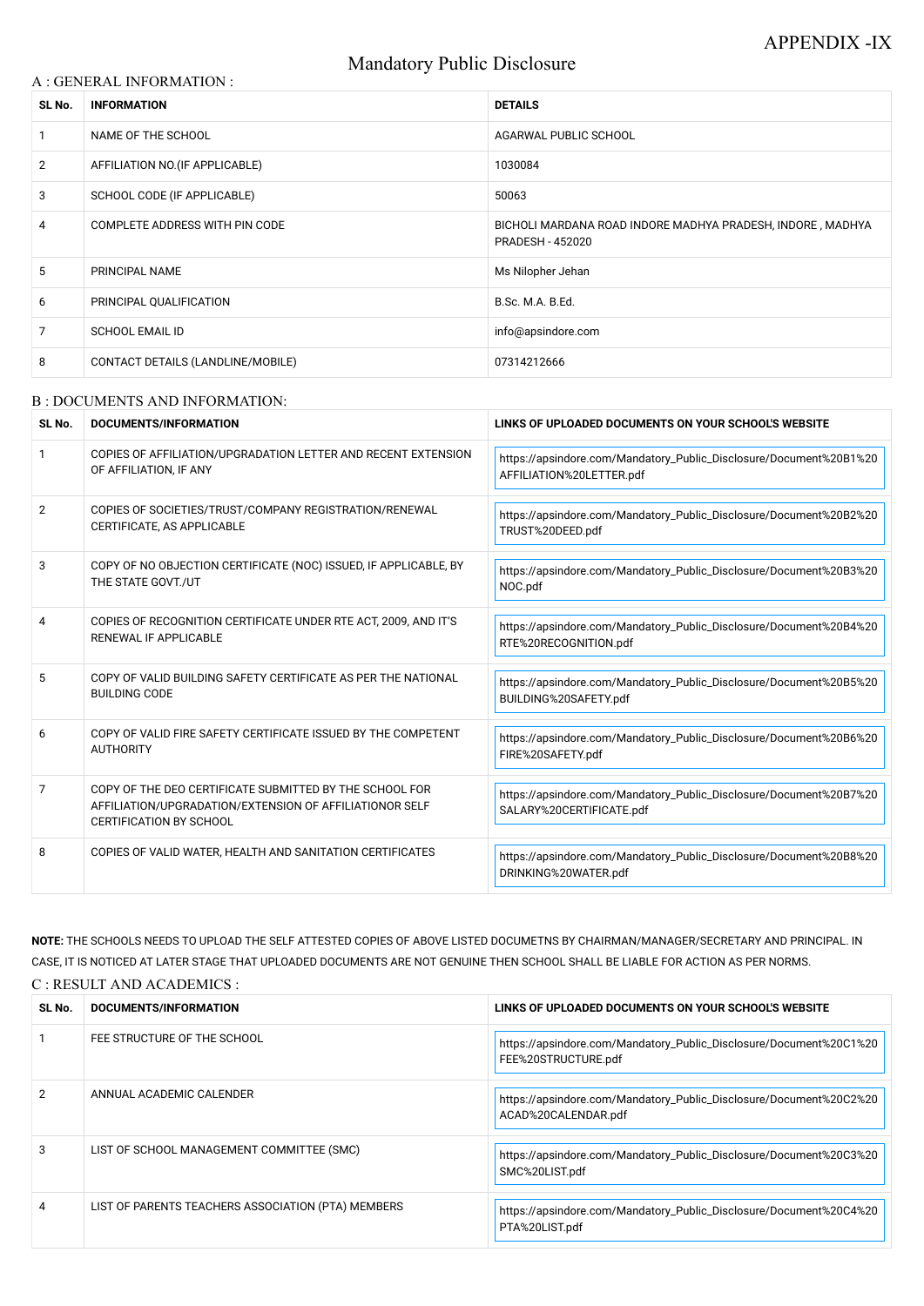# Mandatory Public Disclosure

### A : GENERAL INFORMATION :

| SL No.         | <b>INFORMATION</b>                | <b>DETAILS</b>                                                                        |
|----------------|-----------------------------------|---------------------------------------------------------------------------------------|
|                | NAME OF THE SCHOOL                | AGARWAL PUBLIC SCHOOL                                                                 |
| $\overline{2}$ | AFFILIATION NO. (IF APPLICABLE)   | 1030084                                                                               |
| 3              | SCHOOL CODE (IF APPLICABLE)       | 50063                                                                                 |
| 4              | COMPLETE ADDRESS WITH PIN CODE    | BICHOLI MARDANA ROAD INDORE MADHYA PRADESH, INDORE, MADHYA<br><b>PRADESH - 452020</b> |
| 5              | PRINCIPAL NAME                    | Ms Nilopher Jehan                                                                     |
| 6              | PRINCIPAL QUALIFICATION           | B.Sc. M.A. B.Ed.                                                                      |
| 7              | <b>SCHOOL EMAIL ID</b>            | info@apsindore.com                                                                    |
| 8              | CONTACT DETAILS (LANDLINE/MOBILE) | 07314212666                                                                           |

#### B : DOCUMENTS AND INFORMATION:

| SL No.         | <b>DOCUMENTS/INFORMATION</b>                                                                                                                         | LINKS OF UPLOADED DOCUMENTS ON YOUR SCHOOL'S WEBSITE                                           |
|----------------|------------------------------------------------------------------------------------------------------------------------------------------------------|------------------------------------------------------------------------------------------------|
|                | COPIES OF AFFILIATION/UPGRADATION LETTER AND RECENT EXTENSION<br>OF AFFILIATION, IF ANY                                                              | https://apsindore.com/Mandatory_Public_Disclosure/Document%20B1%20<br>AFFILIATION%20LETTER.pdf |
| $\overline{2}$ | COPIES OF SOCIETIES/TRUST/COMPANY REGISTRATION/RENEWAL<br>CERTIFICATE, AS APPLICABLE                                                                 | https://apsindore.com/Mandatory_Public_Disclosure/Document%20B2%20<br>TRUST%20DEED.pdf         |
| 3              | COPY OF NO OBJECTION CERTIFICATE (NOC) ISSUED, IF APPLICABLE, BY<br>THE STATE GOVT./UT                                                               | https://apsindore.com/Mandatory_Public_Disclosure/Document%20B3%20<br>NOC.pdf                  |
| 4              | COPIES OF RECOGNITION CERTIFICATE UNDER RTE ACT, 2009, AND IT'S<br>RENEWAL IF APPLICABLE                                                             | https://apsindore.com/Mandatory_Public_Disclosure/Document%20B4%20<br>RTE%20RECOGNITION.pdf    |
| 5              | COPY OF VALID BUILDING SAFETY CERTIFICATE AS PER THE NATIONAL<br><b>BUILDING CODE</b>                                                                | https://apsindore.com/Mandatory_Public_Disclosure/Document%20B5%20<br>BUILDING%20SAFETY.pdf    |
| 6              | COPY OF VALID FIRE SAFETY CERTIFICATE ISSUED BY THE COMPETENT<br><b>AUTHORITY</b>                                                                    | https://apsindore.com/Mandatory_Public_Disclosure/Document%20B6%20<br>FIRE%20SAFETY.pdf        |
| $\overline{7}$ | COPY OF THE DEO CERTIFICATE SUBMITTED BY THE SCHOOL FOR<br>AFFILIATION/UPGRADATION/EXTENSION OF AFFILIATIONOR SELF<br><b>CERTIFICATION BY SCHOOL</b> | https://apsindore.com/Mandatory_Public_Disclosure/Document%20B7%20<br>SALARY%20CERTIFICATE.pdf |
| 8              | COPIES OF VALID WATER, HEALTH AND SANITATION CERTIFICATES                                                                                            | https://apsindore.com/Mandatory_Public_Disclosure/Document%20B8%20<br>DRINKING%20WATER.pdf     |

**NOTE:** THE SCHOOLS NEEDS TO UPLOAD THE SELF ATTESTED COPIES OF ABOVE LISTED DOCUMETNS BY CHAIRMAN/MANAGER/SECRETARY AND PRINCIPAL. IN CASE, IT IS NOTICED AT LATER STAGE THAT UPLOADED DOCUMENTS ARE NOT GENUINE THEN SCHOOL SHALL BE LIABLE FOR ACTION AS PER NORMS. C : RESULT AND ACADEMICS :

| SL No. | DOCUMENTS/INFORMATION                              | LINKS OF UPLOADED DOCUMENTS ON YOUR SCHOOL'S WEBSITE                                      |
|--------|----------------------------------------------------|-------------------------------------------------------------------------------------------|
|        | FEE STRUCTURE OF THE SCHOOL                        | https://apsindore.com/Mandatory_Public_Disclosure/Document%20C1%20<br>FEE%20STRUCTURE.pdf |
|        | ANNUAL ACADEMIC CALENDER                           | https://apsindore.com/Mandatory_Public_Disclosure/Document%20C2%20<br>ACAD%20CALENDAR.pdf |
| 3      | LIST OF SCHOOL MANAGEMENT COMMITTEE (SMC)          | https://apsindore.com/Mandatory_Public_Disclosure/Document%20C3%20<br>SMC%20LIST.pdf      |
|        | LIST OF PARENTS TEACHERS ASSOCIATION (PTA) MEMBERS | https://apsindore.com/Mandatory_Public_Disclosure/Document%20C4%20<br>PTA%20LIST.pdf      |